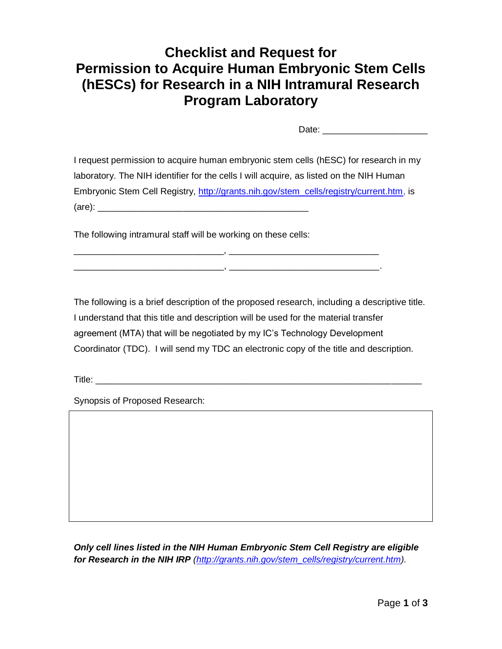# **Checklist and Request for Permission to Acquire Human Embryonic Stem Cells (hESCs) for Research in a NIH Intramural Research Program Laboratory**

Date: \_\_\_\_\_\_\_\_\_\_\_\_\_\_\_\_\_\_\_\_\_

I request permission to acquire human embryonic stem cells (hESC) for research in my laboratory. The NIH identifier for the cells I will acquire, as listed on the NIH Human Embryonic Stem Cell Registry, [http://grants.nih.gov/stem\\_cells/registry/current.htm,](http://grants.nih.gov/stem_cells/registry/current.htm) is  $(are):$ 

\_\_\_\_\_\_\_\_\_\_\_\_\_\_\_\_\_\_\_\_\_\_\_\_\_\_\_\_\_\_, \_\_\_\_\_\_\_\_\_\_\_\_\_\_\_\_\_\_\_\_\_\_\_\_\_\_\_\_\_\_ \_\_\_\_\_\_\_\_\_\_\_\_\_\_\_\_\_\_\_\_\_\_\_\_\_\_\_\_\_\_, \_\_\_\_\_\_\_\_\_\_\_\_\_\_\_\_\_\_\_\_\_\_\_\_\_\_\_\_\_\_.

The following intramural staff will be working on these cells:

The following is a brief description of the proposed research, including a descriptive title. I understand that this title and description will be used for the material transfer agreement (MTA) that will be negotiated by my IC's Technology Development Coordinator (TDC). I will send my TDC an electronic copy of the title and description.

Title:  $\blacksquare$ 

Synopsis of Proposed Research:

*Only cell lines listed in the NIH Human Embryonic Stem Cell Registry are eligible for Research in the NIH IRP [\(http://grants.nih.gov/stem\\_cells/registry/current.htm\)](http://grants.nih.gov/stem_cells/registry/current.htm).*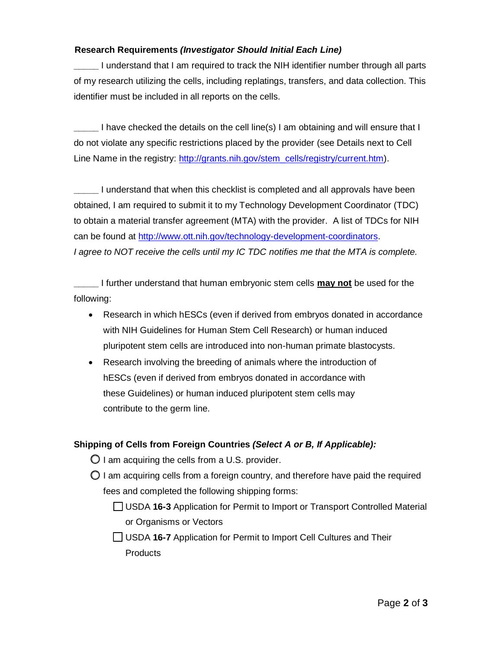## **Research Requirements** *(Investigator Should Initial Each Line)*

**\_\_\_\_\_** I understand that I am required to track the NIH identifier number through all parts of my research utilizing the cells, including replatings, transfers, and data collection. This identifier must be included in all reports on the cells.

**\_\_\_\_\_** I have checked the details on the cell line(s) I am obtaining and will ensure that I do not violate any specific restrictions placed by the provider (see Details next to Cell Line Name in the registry: [http://grants.nih.gov/stem\\_cells/registry/current.htm\)](http://grants.nih.gov/stem_cells/registry/current.htm).

**\_\_\_\_\_** I understand that when this checklist is completed and all approvals have been obtained, I am required to submit it to my Technology Development Coordinator (TDC) to obtain a material transfer agreement (MTA) with the provider. A list of TDCs for NIH can be found at [http://www.ott.nih.gov/technology-development-coordinators.](http://www.ott.nih.gov/technology-development-coordinators) *I* agree to NOT receive the cells until my IC TDC notifies me that the MTA is complete.

**\_\_\_\_\_** I further understand that human embryonic stem cells **may not** be used for the following:

- Research in which hESCs (even if derived from embryos donated in accordance with NIH Guidelines for Human Stem Cell Research) or human induced pluripotent stem cells are introduced into non-human primate blastocysts.
- Research involving the breeding of animals where the introduction of hESCs (even if derived from embryos donated in accordance with these Guidelines) or human induced pluripotent stem cells may contribute to the germ line.

## **Shipping of Cells from Foreign Countries** *(Select A or B, If Applicable):*

- $\bigcirc$  I am acquiring the cells from a U.S. provider.
- $\bigcirc$  I am acquiring cells from a foreign country, and therefore have paid the required fees and completed the following shipping forms:
	- USDA **16-3** Application for Permit to Import or Transport Controlled Material or Organisms or Vectors
	- USDA **16-7** Application for Permit to Import Cell Cultures and Their Products